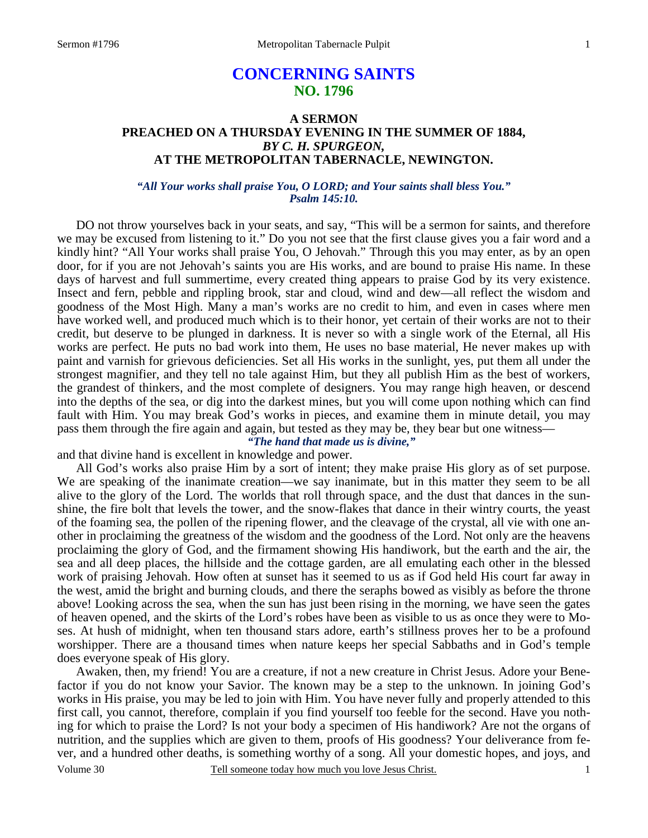# **CONCERNING SAINTS NO. 1796**

## **A SERMON PREACHED ON A THURSDAY EVENING IN THE SUMMER OF 1884,**  *BY C. H. SPURGEON,*  **AT THE METROPOLITAN TABERNACLE, NEWINGTON.**

## *"All Your works shall praise You, O LORD; and Your saints shall bless You." Psalm 145:10.*

DO not throw yourselves back in your seats, and say, "This will be a sermon for saints, and therefore we may be excused from listening to it." Do you not see that the first clause gives you a fair word and a kindly hint? "All Your works shall praise You, O Jehovah." Through this you may enter, as by an open door, for if you are not Jehovah's saints you are His works, and are bound to praise His name. In these days of harvest and full summertime, every created thing appears to praise God by its very existence. Insect and fern, pebble and rippling brook, star and cloud, wind and dew—all reflect the wisdom and goodness of the Most High. Many a man's works are no credit to him, and even in cases where men have worked well, and produced much which is to their honor, yet certain of their works are not to their credit, but deserve to be plunged in darkness. It is never so with a single work of the Eternal, all His works are perfect. He puts no bad work into them, He uses no base material, He never makes up with paint and varnish for grievous deficiencies. Set all His works in the sunlight, yes, put them all under the strongest magnifier, and they tell no tale against Him, but they all publish Him as the best of workers, the grandest of thinkers, and the most complete of designers. You may range high heaven, or descend into the depths of the sea, or dig into the darkest mines, but you will come upon nothing which can find fault with Him. You may break God's works in pieces, and examine them in minute detail, you may pass them through the fire again and again, but tested as they may be, they bear but one witness—

## *"The hand that made us is divine,"*

and that divine hand is excellent in knowledge and power.

 All God's works also praise Him by a sort of intent; they make praise His glory as of set purpose. We are speaking of the inanimate creation—we say inanimate, but in this matter they seem to be all alive to the glory of the Lord. The worlds that roll through space, and the dust that dances in the sunshine, the fire bolt that levels the tower, and the snow-flakes that dance in their wintry courts, the yeast of the foaming sea, the pollen of the ripening flower, and the cleavage of the crystal, all vie with one another in proclaiming the greatness of the wisdom and the goodness of the Lord. Not only are the heavens proclaiming the glory of God, and the firmament showing His handiwork, but the earth and the air, the sea and all deep places, the hillside and the cottage garden, are all emulating each other in the blessed work of praising Jehovah. How often at sunset has it seemed to us as if God held His court far away in the west, amid the bright and burning clouds, and there the seraphs bowed as visibly as before the throne above! Looking across the sea, when the sun has just been rising in the morning, we have seen the gates of heaven opened, and the skirts of the Lord's robes have been as visible to us as once they were to Moses. At hush of midnight, when ten thousand stars adore, earth's stillness proves her to be a profound worshipper. There are a thousand times when nature keeps her special Sabbaths and in God's temple does everyone speak of His glory.

Volume 30 Tell someone today how much you love Jesus Christ. Awaken, then, my friend! You are a creature, if not a new creature in Christ Jesus. Adore your Benefactor if you do not know your Savior. The known may be a step to the unknown. In joining God's works in His praise, you may be led to join with Him. You have never fully and properly attended to this first call, you cannot, therefore, complain if you find yourself too feeble for the second. Have you nothing for which to praise the Lord? Is not your body a specimen of His handiwork? Are not the organs of nutrition, and the supplies which are given to them, proofs of His goodness? Your deliverance from fever, and a hundred other deaths, is something worthy of a song. All your domestic hopes, and joys, and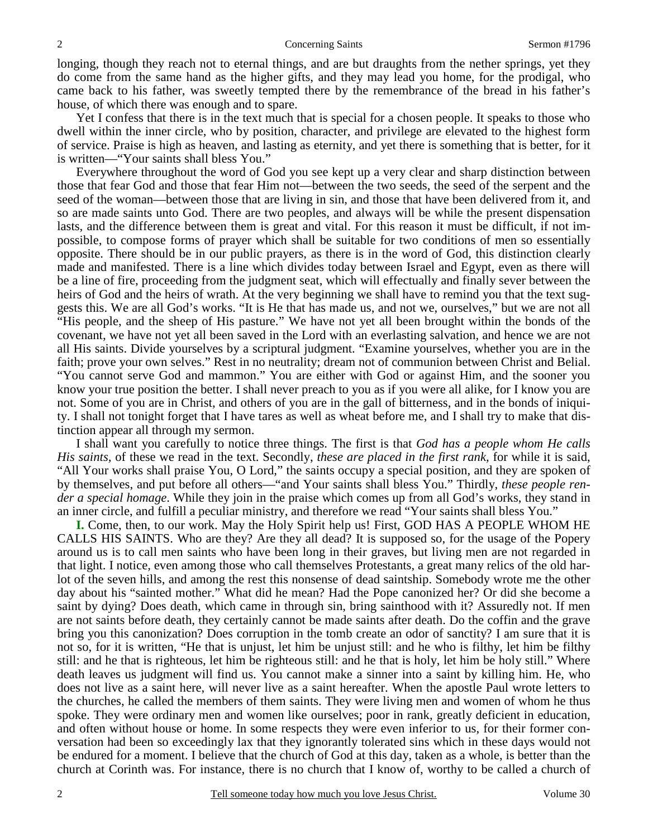longing, though they reach not to eternal things, and are but draughts from the nether springs, yet they do come from the same hand as the higher gifts, and they may lead you home, for the prodigal, who came back to his father, was sweetly tempted there by the remembrance of the bread in his father's house, of which there was enough and to spare.

 Yet I confess that there is in the text much that is special for a chosen people. It speaks to those who dwell within the inner circle, who by position, character, and privilege are elevated to the highest form of service. Praise is high as heaven, and lasting as eternity, and yet there is something that is better, for it is written—"Your saints shall bless You."

 Everywhere throughout the word of God you see kept up a very clear and sharp distinction between those that fear God and those that fear Him not—between the two seeds, the seed of the serpent and the seed of the woman—between those that are living in sin, and those that have been delivered from it, and so are made saints unto God. There are two peoples, and always will be while the present dispensation lasts, and the difference between them is great and vital. For this reason it must be difficult, if not impossible, to compose forms of prayer which shall be suitable for two conditions of men so essentially opposite. There should be in our public prayers, as there is in the word of God, this distinction clearly made and manifested. There is a line which divides today between Israel and Egypt, even as there will be a line of fire, proceeding from the judgment seat, which will effectually and finally sever between the heirs of God and the heirs of wrath. At the very beginning we shall have to remind you that the text suggests this. We are all God's works. "It is He that has made us, and not we, ourselves," but we are not all "His people, and the sheep of His pasture." We have not yet all been brought within the bonds of the covenant, we have not yet all been saved in the Lord with an everlasting salvation, and hence we are not all His saints. Divide yourselves by a scriptural judgment. "Examine yourselves, whether you are in the faith; prove your own selves." Rest in no neutrality; dream not of communion between Christ and Belial. "You cannot serve God and mammon." You are either with God or against Him, and the sooner you know your true position the better. I shall never preach to you as if you were all alike, for I know you are not. Some of you are in Christ, and others of you are in the gall of bitterness, and in the bonds of iniquity. I shall not tonight forget that I have tares as well as wheat before me, and I shall try to make that distinction appear all through my sermon.

 I shall want you carefully to notice three things. The first is that *God has a people whom He calls His saints,* of these we read in the text. Secondly, *these are placed in the first rank,* for while it is said, "All Your works shall praise You, O Lord," the saints occupy a special position, and they are spoken of by themselves, and put before all others—"and Your saints shall bless You." Thirdly, *these people render a special homage*. While they join in the praise which comes up from all God's works, they stand in an inner circle, and fulfill a peculiar ministry, and therefore we read "Your saints shall bless You."

**I.** Come, then, to our work. May the Holy Spirit help us! First, GOD HAS A PEOPLE WHOM HE CALLS HIS SAINTS. Who are they? Are they all dead? It is supposed so, for the usage of the Popery around us is to call men saints who have been long in their graves, but living men are not regarded in that light. I notice, even among those who call themselves Protestants, a great many relics of the old harlot of the seven hills, and among the rest this nonsense of dead saintship. Somebody wrote me the other day about his "sainted mother." What did he mean? Had the Pope canonized her? Or did she become a saint by dying? Does death, which came in through sin, bring sainthood with it? Assuredly not. If men are not saints before death, they certainly cannot be made saints after death. Do the coffin and the grave bring you this canonization? Does corruption in the tomb create an odor of sanctity? I am sure that it is not so, for it is written, "He that is unjust, let him be unjust still: and he who is filthy, let him be filthy still: and he that is righteous, let him be righteous still: and he that is holy, let him be holy still." Where death leaves us judgment will find us. You cannot make a sinner into a saint by killing him. He, who does not live as a saint here, will never live as a saint hereafter. When the apostle Paul wrote letters to the churches, he called the members of them saints. They were living men and women of whom he thus spoke. They were ordinary men and women like ourselves; poor in rank, greatly deficient in education, and often without house or home. In some respects they were even inferior to us, for their former conversation had been so exceedingly lax that they ignorantly tolerated sins which in these days would not be endured for a moment. I believe that the church of God at this day, taken as a whole, is better than the church at Corinth was. For instance, there is no church that I know of, worthy to be called a church of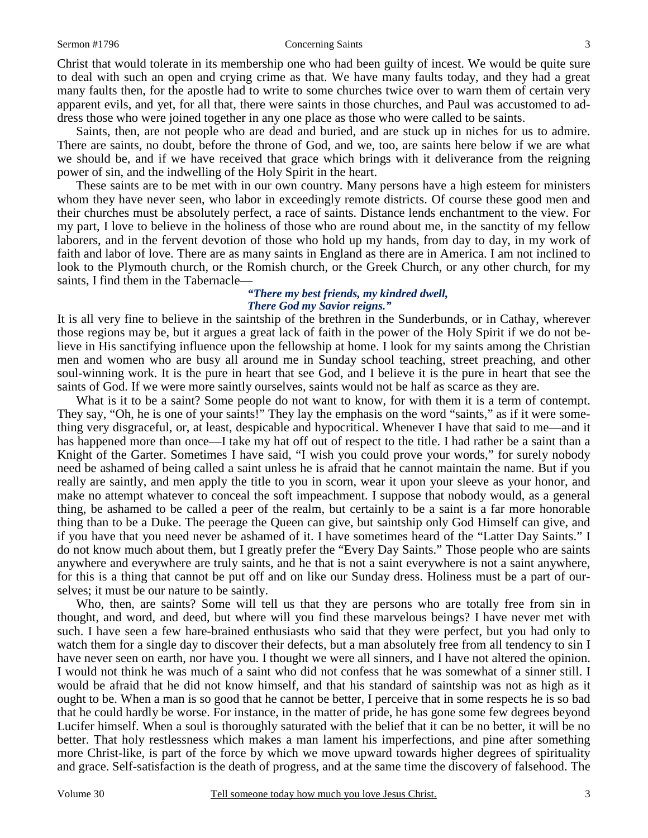#### Sermon #1796 **Concerning Saints** 3

Christ that would tolerate in its membership one who had been guilty of incest. We would be quite sure to deal with such an open and crying crime as that. We have many faults today, and they had a great many faults then, for the apostle had to write to some churches twice over to warn them of certain very apparent evils, and yet, for all that, there were saints in those churches, and Paul was accustomed to address those who were joined together in any one place as those who were called to be saints.

 Saints, then, are not people who are dead and buried, and are stuck up in niches for us to admire. There are saints, no doubt, before the throne of God, and we, too, are saints here below if we are what we should be, and if we have received that grace which brings with it deliverance from the reigning power of sin, and the indwelling of the Holy Spirit in the heart.

 These saints are to be met with in our own country. Many persons have a high esteem for ministers whom they have never seen, who labor in exceedingly remote districts. Of course these good men and their churches must be absolutely perfect, a race of saints. Distance lends enchantment to the view. For my part, I love to believe in the holiness of those who are round about me, in the sanctity of my fellow laborers, and in the fervent devotion of those who hold up my hands, from day to day, in my work of faith and labor of love. There are as many saints in England as there are in America. I am not inclined to look to the Plymouth church, or the Romish church, or the Greek Church, or any other church, for my saints, I find them in the Tabernacle—

## *"There my best friends, my kindred dwell, There God my Savior reigns."*

It is all very fine to believe in the saintship of the brethren in the Sunderbunds, or in Cathay, wherever those regions may be, but it argues a great lack of faith in the power of the Holy Spirit if we do not believe in His sanctifying influence upon the fellowship at home. I look for my saints among the Christian men and women who are busy all around me in Sunday school teaching, street preaching, and other soul-winning work. It is the pure in heart that see God, and I believe it is the pure in heart that see the saints of God. If we were more saintly ourselves, saints would not be half as scarce as they are.

 What is it to be a saint? Some people do not want to know, for with them it is a term of contempt. They say, "Oh, he is one of your saints!" They lay the emphasis on the word "saints," as if it were something very disgraceful, or, at least, despicable and hypocritical. Whenever I have that said to me—and it has happened more than once—I take my hat off out of respect to the title. I had rather be a saint than a Knight of the Garter. Sometimes I have said, "I wish you could prove your words," for surely nobody need be ashamed of being called a saint unless he is afraid that he cannot maintain the name. But if you really are saintly, and men apply the title to you in scorn, wear it upon your sleeve as your honor, and make no attempt whatever to conceal the soft impeachment. I suppose that nobody would, as a general thing, be ashamed to be called a peer of the realm, but certainly to be a saint is a far more honorable thing than to be a Duke. The peerage the Queen can give, but saintship only God Himself can give, and if you have that you need never be ashamed of it. I have sometimes heard of the "Latter Day Saints." I do not know much about them, but I greatly prefer the "Every Day Saints." Those people who are saints anywhere and everywhere are truly saints, and he that is not a saint everywhere is not a saint anywhere, for this is a thing that cannot be put off and on like our Sunday dress. Holiness must be a part of ourselves; it must be our nature to be saintly.

 Who, then, are saints? Some will tell us that they are persons who are totally free from sin in thought, and word, and deed, but where will you find these marvelous beings? I have never met with such. I have seen a few hare-brained enthusiasts who said that they were perfect, but you had only to watch them for a single day to discover their defects, but a man absolutely free from all tendency to sin I have never seen on earth, nor have you. I thought we were all sinners, and I have not altered the opinion. I would not think he was much of a saint who did not confess that he was somewhat of a sinner still. I would be afraid that he did not know himself, and that his standard of saintship was not as high as it ought to be. When a man is so good that he cannot be better, I perceive that in some respects he is so bad that he could hardly be worse. For instance, in the matter of pride, he has gone some few degrees beyond Lucifer himself. When a soul is thoroughly saturated with the belief that it can be no better, it will be no better. That holy restlessness which makes a man lament his imperfections, and pine after something more Christ-like, is part of the force by which we move upward towards higher degrees of spirituality and grace. Self-satisfaction is the death of progress, and at the same time the discovery of falsehood. The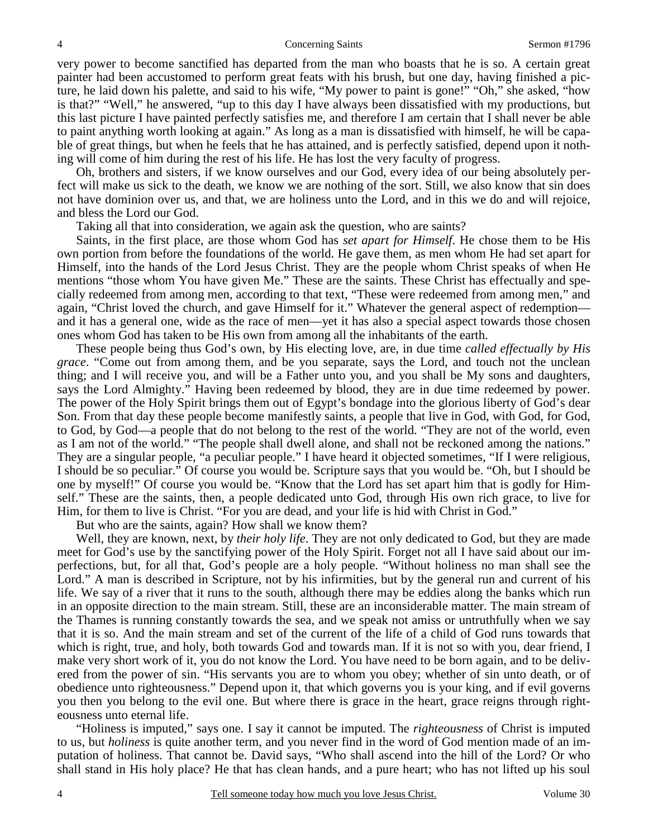very power to become sanctified has departed from the man who boasts that he is so. A certain great painter had been accustomed to perform great feats with his brush, but one day, having finished a picture, he laid down his palette, and said to his wife, "My power to paint is gone!" "Oh," she asked, "how is that?" "Well," he answered, "up to this day I have always been dissatisfied with my productions, but this last picture I have painted perfectly satisfies me, and therefore I am certain that I shall never be able to paint anything worth looking at again." As long as a man is dissatisfied with himself, he will be capable of great things, but when he feels that he has attained, and is perfectly satisfied, depend upon it nothing will come of him during the rest of his life. He has lost the very faculty of progress.

 Oh, brothers and sisters, if we know ourselves and our God, every idea of our being absolutely perfect will make us sick to the death, we know we are nothing of the sort. Still, we also know that sin does not have dominion over us, and that, we are holiness unto the Lord, and in this we do and will rejoice, and bless the Lord our God.

Taking all that into consideration, we again ask the question, who are saints?

 Saints, in the first place, are those whom God has *set apart for Himself*. He chose them to be His own portion from before the foundations of the world. He gave them, as men whom He had set apart for Himself, into the hands of the Lord Jesus Christ. They are the people whom Christ speaks of when He mentions "those whom You have given Me." These are the saints. These Christ has effectually and specially redeemed from among men, according to that text, "These were redeemed from among men," and again, "Christ loved the church, and gave Himself for it." Whatever the general aspect of redemption and it has a general one, wide as the race of men—yet it has also a special aspect towards those chosen ones whom God has taken to be His own from among all the inhabitants of the earth.

 These people being thus God's own, by His electing love, are, in due time *called effectually by His grace*. "Come out from among them, and be you separate, says the Lord, and touch not the unclean thing; and I will receive you, and will be a Father unto you, and you shall be My sons and daughters, says the Lord Almighty." Having been redeemed by blood, they are in due time redeemed by power. The power of the Holy Spirit brings them out of Egypt's bondage into the glorious liberty of God's dear Son. From that day these people become manifestly saints, a people that live in God, with God, for God, to God, by God—a people that do not belong to the rest of the world. "They are not of the world, even as I am not of the world." "The people shall dwell alone, and shall not be reckoned among the nations." They are a singular people, "a peculiar people." I have heard it objected sometimes, "If I were religious, I should be so peculiar." Of course you would be. Scripture says that you would be. "Oh, but I should be one by myself!" Of course you would be. "Know that the Lord has set apart him that is godly for Himself." These are the saints, then, a people dedicated unto God, through His own rich grace, to live for Him, for them to live is Christ. "For you are dead, and your life is hid with Christ in God."

But who are the saints, again? How shall we know them?

 Well, they are known, next, by *their holy life*. They are not only dedicated to God, but they are made meet for God's use by the sanctifying power of the Holy Spirit. Forget not all I have said about our imperfections, but, for all that, God's people are a holy people. "Without holiness no man shall see the Lord." A man is described in Scripture, not by his infirmities, but by the general run and current of his life. We say of a river that it runs to the south, although there may be eddies along the banks which run in an opposite direction to the main stream. Still, these are an inconsiderable matter. The main stream of the Thames is running constantly towards the sea, and we speak not amiss or untruthfully when we say that it is so. And the main stream and set of the current of the life of a child of God runs towards that which is right, true, and holy, both towards God and towards man. If it is not so with you, dear friend, I make very short work of it, you do not know the Lord. You have need to be born again, and to be delivered from the power of sin. "His servants you are to whom you obey; whether of sin unto death, or of obedience unto righteousness." Depend upon it, that which governs you is your king, and if evil governs you then you belong to the evil one. But where there is grace in the heart, grace reigns through righteousness unto eternal life.

 "Holiness is imputed," says one. I say it cannot be imputed. The *righteousness* of Christ is imputed to us, but *holiness* is quite another term, and you never find in the word of God mention made of an imputation of holiness. That cannot be. David says, "Who shall ascend into the hill of the Lord? Or who shall stand in His holy place? He that has clean hands, and a pure heart; who has not lifted up his soul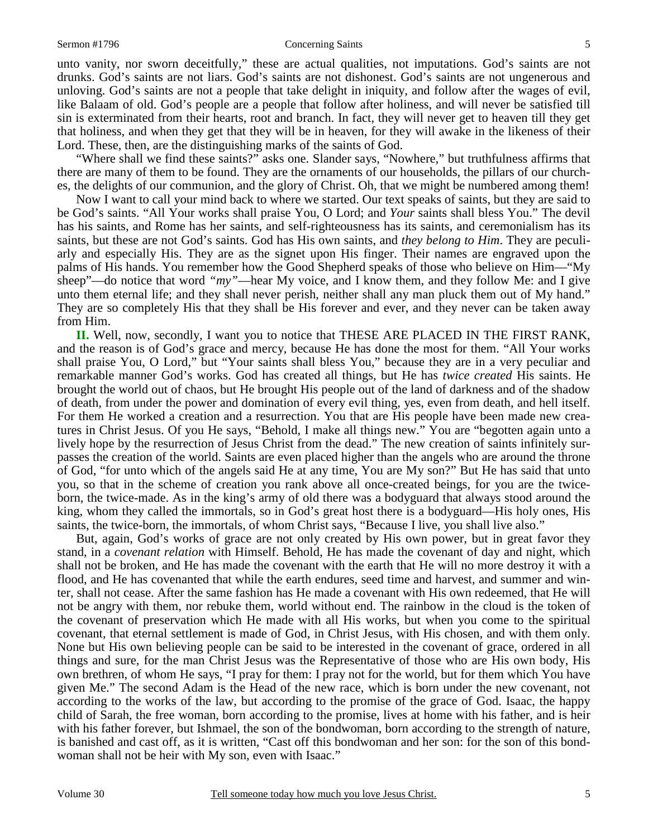#### Sermon #1796 **Concerning Saints** 5

unto vanity, nor sworn deceitfully," these are actual qualities, not imputations. God's saints are not drunks. God's saints are not liars. God's saints are not dishonest. God's saints are not ungenerous and unloving. God's saints are not a people that take delight in iniquity, and follow after the wages of evil, like Balaam of old. God's people are a people that follow after holiness, and will never be satisfied till sin is exterminated from their hearts, root and branch. In fact, they will never get to heaven till they get that holiness, and when they get that they will be in heaven, for they will awake in the likeness of their Lord. These, then, are the distinguishing marks of the saints of God.

 "Where shall we find these saints?" asks one. Slander says, "Nowhere," but truthfulness affirms that there are many of them to be found. They are the ornaments of our households, the pillars of our churches, the delights of our communion, and the glory of Christ. Oh, that we might be numbered among them!

 Now I want to call your mind back to where we started. Our text speaks of saints, but they are said to be God's saints. "All Your works shall praise You, O Lord; and *Your* saints shall bless You." The devil has his saints, and Rome has her saints, and self-righteousness has its saints, and ceremonialism has its saints, but these are not God's saints. God has His own saints, and *they belong to Him*. They are peculiarly and especially His. They are as the signet upon His finger. Their names are engraved upon the palms of His hands. You remember how the Good Shepherd speaks of those who believe on Him—"My sheep"—do notice that word *"my"*—hear My voice, and I know them, and they follow Me: and I give unto them eternal life; and they shall never perish, neither shall any man pluck them out of My hand." They are so completely His that they shall be His forever and ever, and they never can be taken away from Him.

**II.** Well, now, secondly, I want you to notice that THESE ARE PLACED IN THE FIRST RANK, and the reason is of God's grace and mercy, because He has done the most for them. "All Your works shall praise You, O Lord," but "Your saints shall bless You," because they are in a very peculiar and remarkable manner God's works. God has created all things, but He has *twice created* His saints. He brought the world out of chaos, but He brought His people out of the land of darkness and of the shadow of death, from under the power and domination of every evil thing, yes, even from death, and hell itself. For them He worked a creation and a resurrection. You that are His people have been made new creatures in Christ Jesus. Of you He says, "Behold, I make all things new." You are "begotten again unto a lively hope by the resurrection of Jesus Christ from the dead." The new creation of saints infinitely surpasses the creation of the world. Saints are even placed higher than the angels who are around the throne of God, "for unto which of the angels said He at any time, You are My son?" But He has said that unto you, so that in the scheme of creation you rank above all once-created beings, for you are the twiceborn, the twice-made. As in the king's army of old there was a bodyguard that always stood around the king, whom they called the immortals, so in God's great host there is a bodyguard—His holy ones, His saints, the twice-born, the immortals, of whom Christ says, "Because I live, you shall live also."

 But, again, God's works of grace are not only created by His own power, but in great favor they stand, in a *covenant relation* with Himself. Behold, He has made the covenant of day and night, which shall not be broken, and He has made the covenant with the earth that He will no more destroy it with a flood, and He has covenanted that while the earth endures, seed time and harvest, and summer and winter, shall not cease. After the same fashion has He made a covenant with His own redeemed, that He will not be angry with them, nor rebuke them, world without end. The rainbow in the cloud is the token of the covenant of preservation which He made with all His works, but when you come to the spiritual covenant, that eternal settlement is made of God, in Christ Jesus, with His chosen, and with them only. None but His own believing people can be said to be interested in the covenant of grace, ordered in all things and sure, for the man Christ Jesus was the Representative of those who are His own body, His own brethren, of whom He says, "I pray for them: I pray not for the world, but for them which You have given Me." The second Adam is the Head of the new race, which is born under the new covenant, not according to the works of the law, but according to the promise of the grace of God. Isaac, the happy child of Sarah, the free woman, born according to the promise, lives at home with his father, and is heir with his father forever, but Ishmael, the son of the bondwoman, born according to the strength of nature, is banished and cast off, as it is written, "Cast off this bondwoman and her son: for the son of this bondwoman shall not be heir with My son, even with Isaac."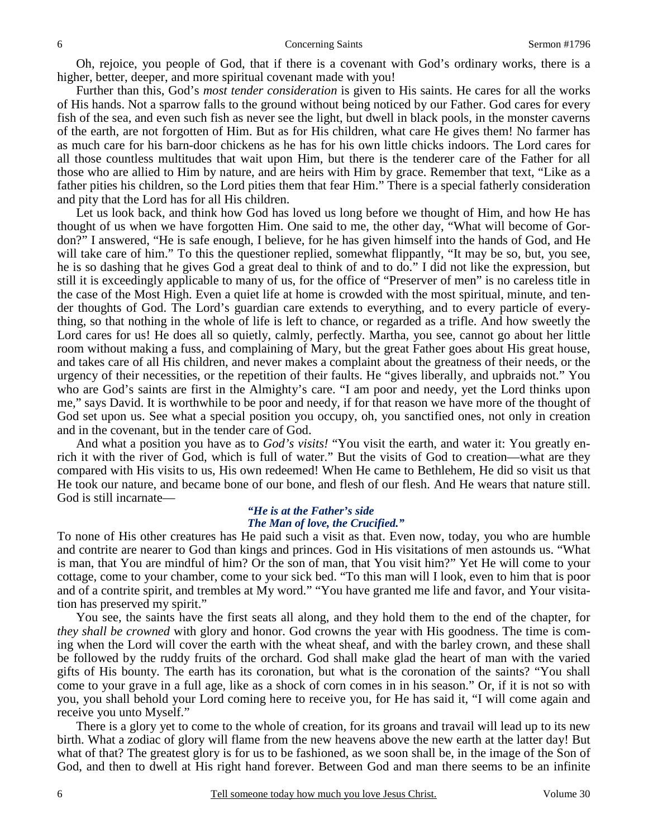Oh, rejoice, you people of God, that if there is a covenant with God's ordinary works, there is a higher, better, deeper, and more spiritual covenant made with you!

 Further than this, God's *most tender consideration* is given to His saints. He cares for all the works of His hands. Not a sparrow falls to the ground without being noticed by our Father. God cares for every fish of the sea, and even such fish as never see the light, but dwell in black pools, in the monster caverns of the earth, are not forgotten of Him. But as for His children, what care He gives them! No farmer has as much care for his barn-door chickens as he has for his own little chicks indoors. The Lord cares for all those countless multitudes that wait upon Him, but there is the tenderer care of the Father for all those who are allied to Him by nature, and are heirs with Him by grace. Remember that text, "Like as a father pities his children, so the Lord pities them that fear Him." There is a special fatherly consideration and pity that the Lord has for all His children.

 Let us look back, and think how God has loved us long before we thought of Him, and how He has thought of us when we have forgotten Him. One said to me, the other day, "What will become of Gordon?" I answered, "He is safe enough, I believe, for he has given himself into the hands of God, and He will take care of him." To this the questioner replied, somewhat flippantly, "It may be so, but, you see, he is so dashing that he gives God a great deal to think of and to do." I did not like the expression, but still it is exceedingly applicable to many of us, for the office of "Preserver of men" is no careless title in the case of the Most High. Even a quiet life at home is crowded with the most spiritual, minute, and tender thoughts of God. The Lord's guardian care extends to everything, and to every particle of everything, so that nothing in the whole of life is left to chance, or regarded as a trifle. And how sweetly the Lord cares for us! He does all so quietly, calmly, perfectly. Martha, you see, cannot go about her little room without making a fuss, and complaining of Mary, but the great Father goes about His great house, and takes care of all His children, and never makes a complaint about the greatness of their needs, or the urgency of their necessities, or the repetition of their faults. He "gives liberally, and upbraids not." You who are God's saints are first in the Almighty's care. "I am poor and needy, yet the Lord thinks upon me," says David. It is worthwhile to be poor and needy, if for that reason we have more of the thought of God set upon us. See what a special position you occupy, oh, you sanctified ones, not only in creation and in the covenant, but in the tender care of God.

 And what a position you have as to *God's visits!* "You visit the earth, and water it: You greatly enrich it with the river of God, which is full of water." But the visits of God to creation—what are they compared with His visits to us, His own redeemed! When He came to Bethlehem, He did so visit us that He took our nature, and became bone of our bone, and flesh of our flesh. And He wears that nature still. God is still incarnate—

### *"He is at the Father's side The Man of love, the Crucified."*

To none of His other creatures has He paid such a visit as that. Even now, today, you who are humble and contrite are nearer to God than kings and princes. God in His visitations of men astounds us. "What is man, that You are mindful of him? Or the son of man, that You visit him?" Yet He will come to your cottage, come to your chamber, come to your sick bed. "To this man will I look, even to him that is poor and of a contrite spirit, and trembles at My word." "You have granted me life and favor, and Your visitation has preserved my spirit."

 You see, the saints have the first seats all along, and they hold them to the end of the chapter, for *they shall be crowned* with glory and honor. God crowns the year with His goodness. The time is coming when the Lord will cover the earth with the wheat sheaf, and with the barley crown, and these shall be followed by the ruddy fruits of the orchard. God shall make glad the heart of man with the varied gifts of His bounty. The earth has its coronation, but what is the coronation of the saints? "You shall come to your grave in a full age, like as a shock of corn comes in in his season." Or, if it is not so with you, you shall behold your Lord coming here to receive you, for He has said it, "I will come again and receive you unto Myself."

 There is a glory yet to come to the whole of creation, for its groans and travail will lead up to its new birth. What a zodiac of glory will flame from the new heavens above the new earth at the latter day! But what of that? The greatest glory is for us to be fashioned, as we soon shall be, in the image of the Son of God, and then to dwell at His right hand forever. Between God and man there seems to be an infinite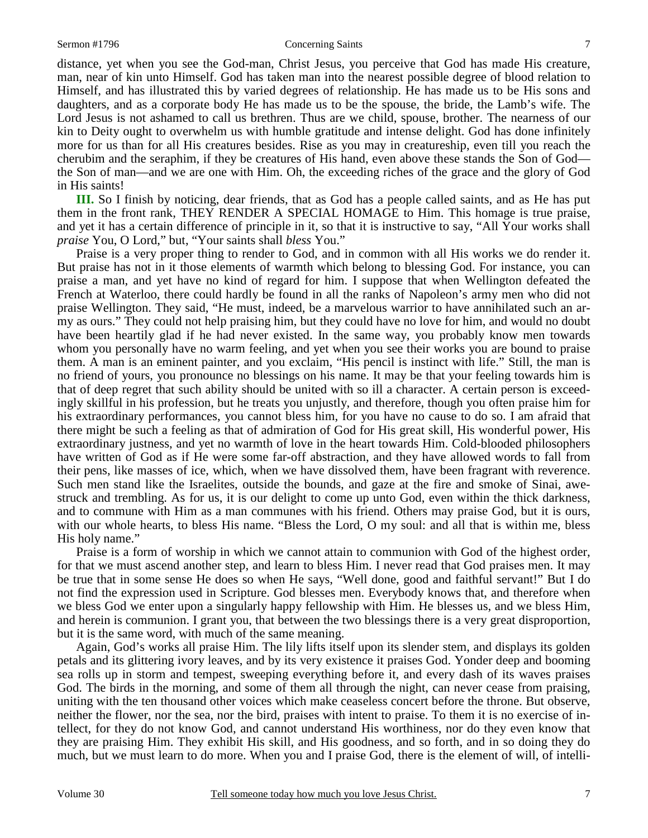#### Sermon #1796 **Concerning Saints** 7

distance, yet when you see the God-man, Christ Jesus, you perceive that God has made His creature, man, near of kin unto Himself. God has taken man into the nearest possible degree of blood relation to Himself, and has illustrated this by varied degrees of relationship. He has made us to be His sons and daughters, and as a corporate body He has made us to be the spouse, the bride, the Lamb's wife. The Lord Jesus is not ashamed to call us brethren. Thus are we child, spouse, brother. The nearness of our kin to Deity ought to overwhelm us with humble gratitude and intense delight. God has done infinitely more for us than for all His creatures besides. Rise as you may in creatureship, even till you reach the cherubim and the seraphim, if they be creatures of His hand, even above these stands the Son of God the Son of man—and we are one with Him. Oh, the exceeding riches of the grace and the glory of God in His saints!

**III.** So I finish by noticing, dear friends, that as God has a people called saints, and as He has put them in the front rank, THEY RENDER A SPECIAL HOMAGE to Him. This homage is true praise, and yet it has a certain difference of principle in it, so that it is instructive to say, "All Your works shall *praise* You, O Lord," but, "Your saints shall *bless* You."

 Praise is a very proper thing to render to God, and in common with all His works we do render it. But praise has not in it those elements of warmth which belong to blessing God. For instance, you can praise a man, and yet have no kind of regard for him. I suppose that when Wellington defeated the French at Waterloo, there could hardly be found in all the ranks of Napoleon's army men who did not praise Wellington. They said, "He must, indeed, be a marvelous warrior to have annihilated such an army as ours." They could not help praising him, but they could have no love for him, and would no doubt have been heartily glad if he had never existed. In the same way, you probably know men towards whom you personally have no warm feeling, and yet when you see their works you are bound to praise them. A man is an eminent painter, and you exclaim, "His pencil is instinct with life." Still, the man is no friend of yours, you pronounce no blessings on his name. It may be that your feeling towards him is that of deep regret that such ability should be united with so ill a character. A certain person is exceedingly skillful in his profession, but he treats you unjustly, and therefore, though you often praise him for his extraordinary performances, you cannot bless him, for you have no cause to do so. I am afraid that there might be such a feeling as that of admiration of God for His great skill, His wonderful power, His extraordinary justness, and yet no warmth of love in the heart towards Him. Cold-blooded philosophers have written of God as if He were some far-off abstraction, and they have allowed words to fall from their pens, like masses of ice, which, when we have dissolved them, have been fragrant with reverence. Such men stand like the Israelites, outside the bounds, and gaze at the fire and smoke of Sinai, awestruck and trembling. As for us, it is our delight to come up unto God, even within the thick darkness, and to commune with Him as a man communes with his friend. Others may praise God, but it is ours, with our whole hearts, to bless His name. "Bless the Lord, O my soul: and all that is within me, bless His holy name."

 Praise is a form of worship in which we cannot attain to communion with God of the highest order, for that we must ascend another step, and learn to bless Him. I never read that God praises men. It may be true that in some sense He does so when He says, "Well done, good and faithful servant!" But I do not find the expression used in Scripture. God blesses men. Everybody knows that, and therefore when we bless God we enter upon a singularly happy fellowship with Him. He blesses us, and we bless Him, and herein is communion. I grant you, that between the two blessings there is a very great disproportion, but it is the same word, with much of the same meaning.

 Again, God's works all praise Him. The lily lifts itself upon its slender stem, and displays its golden petals and its glittering ivory leaves, and by its very existence it praises God. Yonder deep and booming sea rolls up in storm and tempest, sweeping everything before it, and every dash of its waves praises God. The birds in the morning, and some of them all through the night, can never cease from praising, uniting with the ten thousand other voices which make ceaseless concert before the throne. But observe, neither the flower, nor the sea, nor the bird, praises with intent to praise. To them it is no exercise of intellect, for they do not know God, and cannot understand His worthiness, nor do they even know that they are praising Him. They exhibit His skill, and His goodness, and so forth, and in so doing they do much, but we must learn to do more. When you and I praise God, there is the element of will, of intelli